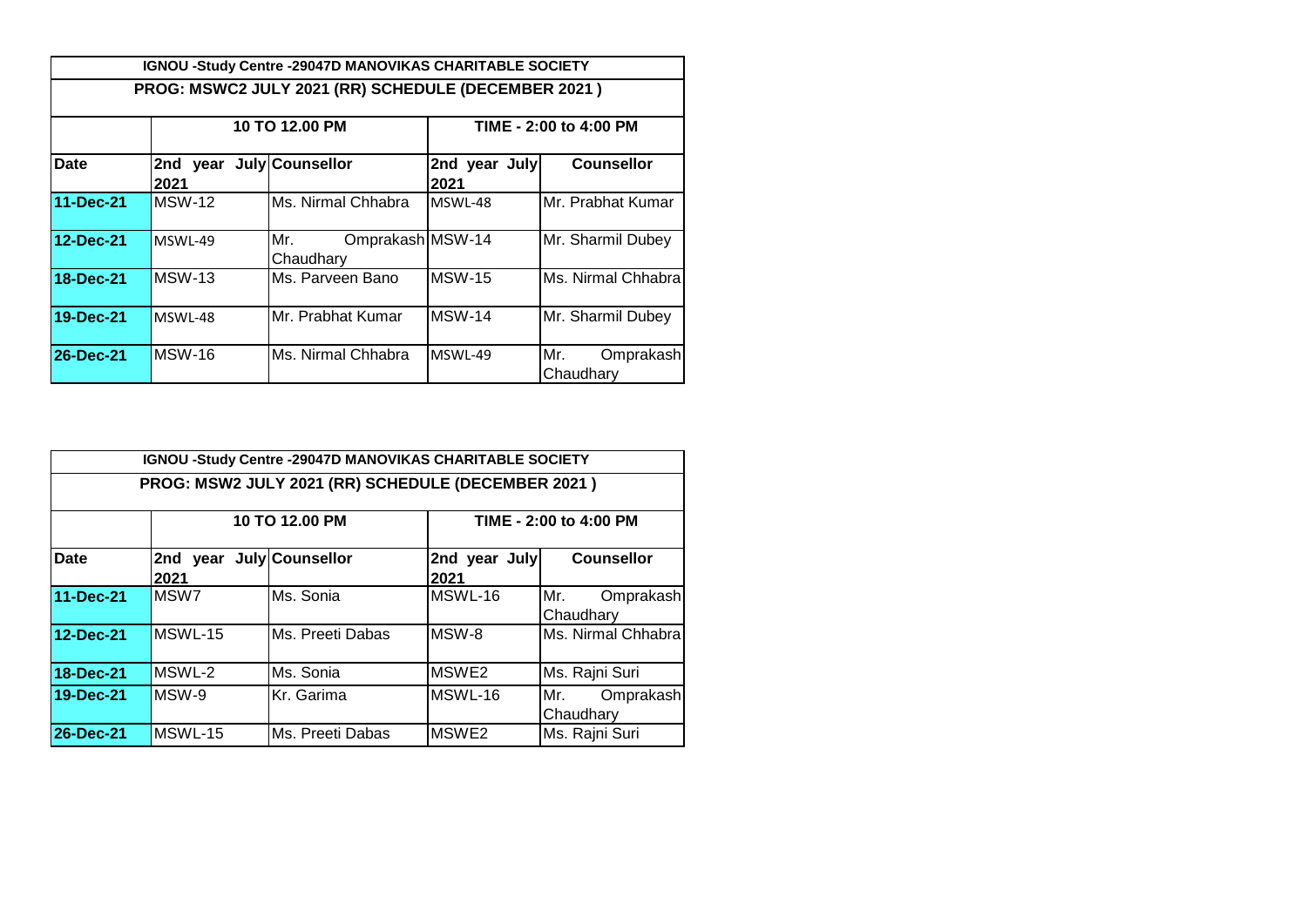|                  |                                  | IGNOU -Study Centre -29047D MANOVIKAS CHARITABLE SOCIETY |                        |                               |  |
|------------------|----------------------------------|----------------------------------------------------------|------------------------|-------------------------------|--|
|                  |                                  | PROG: MSWC2 JULY 2021 (RR) SCHEDULE (DECEMBER 2021)      |                        |                               |  |
|                  |                                  | 10 TO 12.00 PM                                           | TIME - 2:00 to 4:00 PM |                               |  |
| Date             | 2nd year July Counsellor<br>2021 |                                                          | 2nd year July<br>2021  | <b>Counsellor</b>             |  |
| 11-Dec-21        | MSW-12                           | Ms. Nirmal Chhabra                                       | MSWL-48                | Mr. Prabhat Kumar             |  |
| 12-Dec-21        | MSWL-49                          | Omprakash MSW-14<br>Mr.<br>Chaudhary                     |                        | Mr. Sharmil Dubey             |  |
| 18-Dec-21        | <b>MSW-13</b>                    | Ms. Parveen Bano                                         | <b>MSW-15</b>          | Ms. Nirmal Chhabra            |  |
| 19-Dec-21        | MSWL-48                          | Mr. Prabhat Kumar                                        | <b>MSW-14</b>          | Mr. Sharmil Dubey             |  |
| <b>26-Dec-21</b> | MSW-16                           | Ms. Nirmal Chhabra                                       | MSWL-49                | Mr.<br>Omprakash<br>Chaudhary |  |

|                  |                                  | <b>IGNOU -Study Centre -29047D MANOVIKAS CHARITABLE SOCIETY</b> |                        |                               |  |  |  |
|------------------|----------------------------------|-----------------------------------------------------------------|------------------------|-------------------------------|--|--|--|
|                  |                                  | PROG: MSW2 JULY 2021 (RR) SCHEDULE (DECEMBER 2021)              |                        |                               |  |  |  |
|                  |                                  | 10 TO 12.00 PM                                                  | TIME - 2:00 to 4:00 PM |                               |  |  |  |
| <b>Date</b>      | 2nd year July Counsellor<br>2021 |                                                                 | 2nd year July<br>2021  | <b>Counsellor</b>             |  |  |  |
| 11-Dec-21        | MSW <sub>7</sub>                 | Ms. Sonia                                                       | MSWL-16                | Mr.<br>Omprakash<br>Chaudhary |  |  |  |
| 12-Dec-21        | MSWL-15                          | Ms. Preeti Dabas                                                | MSW-8                  | Ms. Nirmal Chhabra            |  |  |  |
| 18-Dec-21        | MSWL-2                           | Ms. Sonia                                                       | MSWE2                  | Ms. Rajni Suri                |  |  |  |
| 19-Dec-21        | MSW-9                            | Kr. Garima                                                      | MSWL-16                | Mr.<br>Omprakash<br>Chaudhary |  |  |  |
| <b>26-Dec-21</b> | MSWL-15                          | Ms. Preeti Dabas                                                | MSWE <sub>2</sub>      | Ms. Rajni Suri                |  |  |  |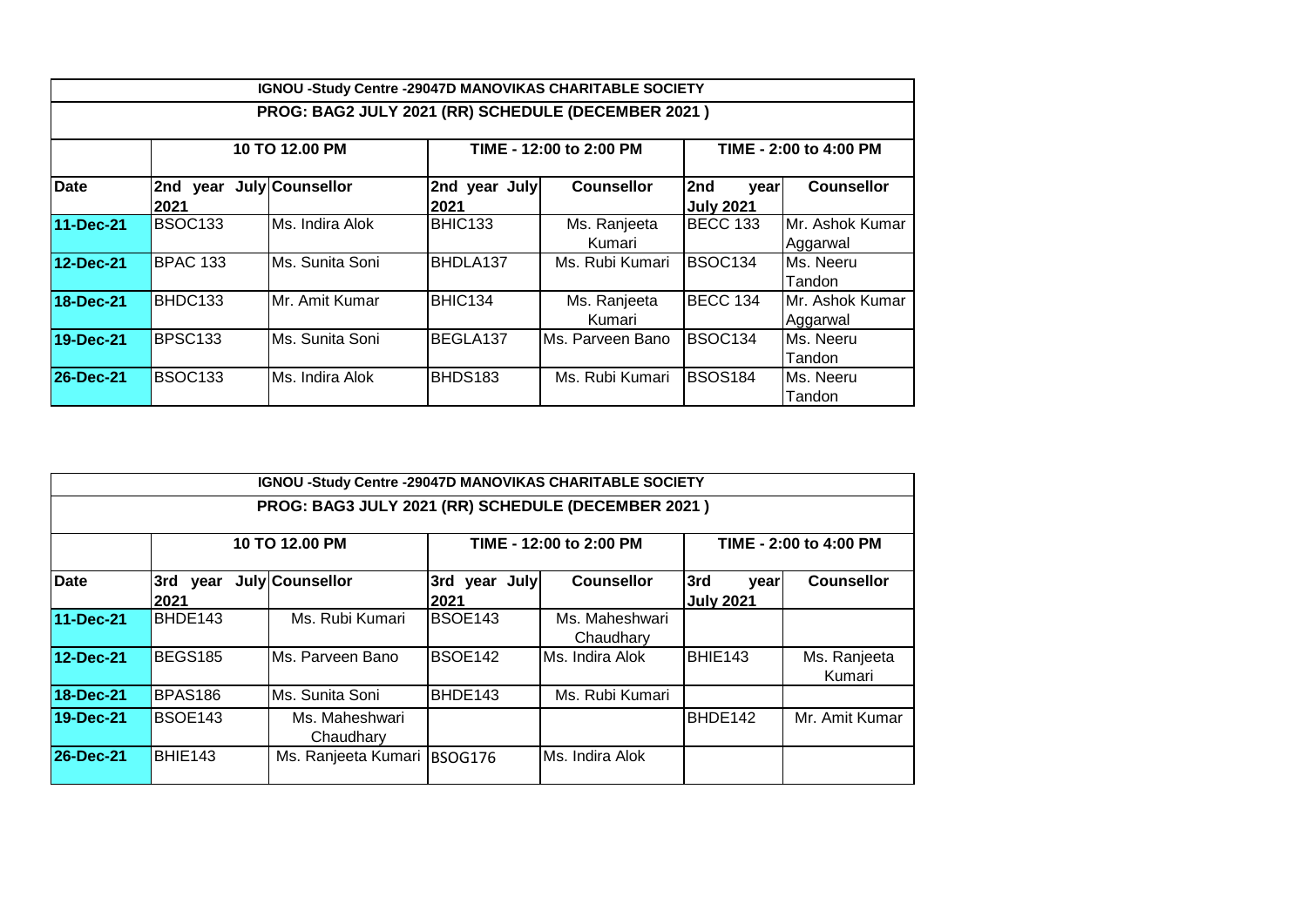| IGNOU -Study Centre -29047D MANOVIKAS CHARITABLE SOCIETY |                     |                      |                         |                        |                                 |                             |  |  |
|----------------------------------------------------------|---------------------|----------------------|-------------------------|------------------------|---------------------------------|-----------------------------|--|--|
| PROG: BAG2 JULY 2021 (RR) SCHEDULE (DECEMBER 2021)       |                     |                      |                         |                        |                                 |                             |  |  |
|                                                          |                     | 10 TO 12.00 PM       | TIME - 12:00 to 2:00 PM |                        | TIME - 2:00 to 4:00 PM          |                             |  |  |
| <b>Date</b>                                              | 2nd<br> 2021        | year July Counsellor | 2nd year July<br>2021   | <b>Counsellor</b>      | 2nd<br>vear<br><b>July 2021</b> | <b>Counsellor</b>           |  |  |
| 11-Dec-21                                                | BSOC <sub>133</sub> | Ms. Indira Alok      | BHIC133                 | Ms. Ranjeeta<br>Kumari | <b>BECC 133</b>                 | Mr. Ashok Kumar<br>Aggarwal |  |  |
| 12-Dec-21                                                | BPAC 133            | Ms. Sunita Soni      | BHDLA137                | Ms. Rubi Kumari        | BSOC <sub>134</sub>             | Ms. Neeru<br>Tandon         |  |  |
| 18-Dec-21                                                | BHDC133             | Mr. Amit Kumar       | BHIC134                 | Ms. Ranjeeta<br>Kumari | BECC 134                        | Mr. Ashok Kumar<br>Aggarwal |  |  |
| 19-Dec-21                                                | BPSC133             | Ms. Sunita Soni      | BEGLA137                | IMs. Parveen Bano      | BSOC <sub>134</sub>             | Ms. Neeru<br>Tandon         |  |  |
| <b>26-Dec-21</b>                                         | BSOC <sub>133</sub> | Ms. Indira Alok      | BHDS183                 | Ms. Rubi Kumari        | <b>IBSOS184</b>                 | Ms. Neeru<br>Tandon         |  |  |

| IGNOU -Study Centre -29047D MANOVIKAS CHARITABLE SOCIETY<br>PROG: BAG3 JULY 2021 (RR) SCHEDULE (DECEMBER 2021) |                                  |                             |                         |                             |                                 |                        |  |  |
|----------------------------------------------------------------------------------------------------------------|----------------------------------|-----------------------------|-------------------------|-----------------------------|---------------------------------|------------------------|--|--|
| Date                                                                                                           | 10 TO 12.00 PM                   |                             | TIME - 12:00 to 2:00 PM |                             | TIME - 2:00 to 4:00 PM          |                        |  |  |
|                                                                                                                | 3rd year July Counsellor<br>2021 |                             | 3rd year July<br> 2021  | <b>Counsellor</b>           | 3rd<br>year<br><b>July 2021</b> | <b>Counsellor</b>      |  |  |
| 11-Dec-21                                                                                                      | BHDE143                          | Ms. Rubi Kumari             | BSOE143                 | Ms. Maheshwari<br>Chaudhary |                                 |                        |  |  |
| 12-Dec-21                                                                                                      | BEGS185                          | Ms. Parveen Bano            | BSOE142                 | <b>I</b> Ms. Indira Alok    | BHIE143                         | Ms. Ranjeeta<br>Kumari |  |  |
| 18-Dec-21                                                                                                      | BPAS <sub>186</sub>              | Ms. Sunita Soni             | BHDE143                 | Ms. Rubi Kumari             |                                 |                        |  |  |
| 19-Dec-21                                                                                                      | BSOE143                          | Ms. Maheshwari<br>Chaudhary |                         |                             | BHDE142                         | Mr. Amit Kumar         |  |  |
| 26-Dec-21                                                                                                      | BHIE143                          | Ms. Ranjeeta Kumari BSOG176 |                         | Ms. Indira Alok             |                                 |                        |  |  |